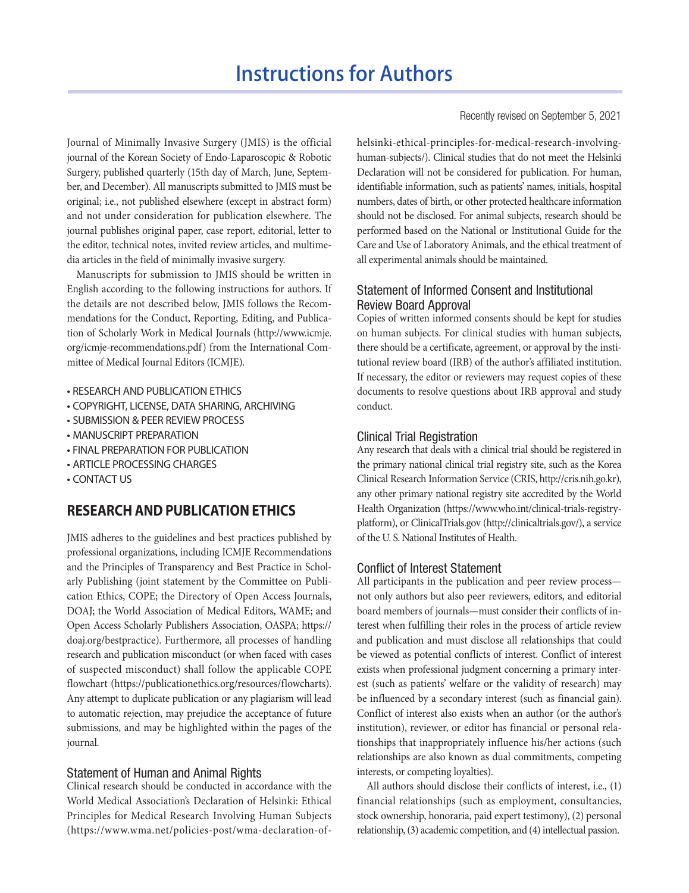Journal of Minimally Invasive Surgery (JMIS) is the official journal of the Korean Society of Endo-Laparoscopic & Robotic Surgery, published quarterly (15th day of March, June, September, and December). All manuscripts submitted to JMIS must be original; i.e., not published elsewhere (except in abstract form) and not under consideration for publication elsewhere. The journal publishes original paper, case report, editorial, letter to the editor, technical notes, invited review articles, and multimedia articles in the field of minimally invasive surgery.

Manuscripts for submission to JMIS should be written in English according to the following instructions for authors. If the details are not described below, JMIS follows the Recommendations for the Conduct, Reporting, Editing, and Publication of Scholarly Work in Medical Journals ([http://www.icmje.](http://www.icmje.org/icmje-recommendations.pdf) [org/icmje-recommendations.pdf](http://www.icmje.org/icmje-recommendations.pdf)) from the International Committee of Medical Journal Editors (ICMJE).

- RESEARCH AND PUBLICATION ETHICS
- COPYRIGHT, LICENSE, DATA SHARING, ARCHIVING
- SUBMISSION & PEER REVIEW PROCESS
- MANUSCRIPT PREPARATION
- FINAL PREPARATION FOR PUBLICATION
- ARTICLE PROCESSING CHARGES
- CONTACT US

# **RESEARCH AND PUBLICATION ETHICS**

JMIS adheres to the guidelines and best practices published by professional organizations, including ICMJE Recommendations and the Principles of Transparency and Best Practice in Scholarly Publishing (joint statement by the Committee on Publication Ethics, COPE; the Directory of Open Access Journals, DOAJ; the World Association of Medical Editors, WAME; and Open Access Scholarly Publishers Association, OASPA; https:// doaj.org/bestpractice). Furthermore, all processes of handling research and publication misconduct (or when faced with cases of suspected misconduct) shall follow the applicable COPE flowchart (https://publicationethics.org/resources/flowcharts). Any attempt to duplicate publication or any plagiarism will lead to automatic rejection, may prejudice the acceptance of future submissions, and may be highlighted within the pages of the journal.

## Statement of Human and Animal Rights

Clinical research should be conducted in accordance with the World Medical Association's Declaration of Helsinki: Ethical Principles for Medical Research Involving Human Subjects (https://www.wma.net/policies-post/wma-declaration-ofRecently revised on September 5, 2021

helsinki-ethical-principles-for-medical-research-involvinghuman-subjects/). Clinical studies that do not meet the Helsinki Declaration will not be considered for publication. For human, identifiable information, such as patients' names, initials, hospital numbers, dates of birth, or other protected healthcare information should not be disclosed. For animal subjects, research should be performed based on the National or Institutional Guide for the Care and Use of Laboratory Animals, and the ethical treatment of all experimental animals should be maintained.

## Statement of Informed Consent and Institutional Review Board Approval

Copies of written informed consents should be kept for studies on human subjects. For clinical studies with human subjects, there should be a certificate, agreement, or approval by the institutional review board (IRB) of the author's affiliated institution. If necessary, the editor or reviewers may request copies of these documents to resolve questions about IRB approval and study conduct.

### Clinical Trial Registration

Any research that deals with a clinical trial should be registered in the primary national clinical trial registry site, such as the Korea Clinical Research Information Service (CRIS, http://cris.nih.go.kr), any other primary national registry site accredited by the World Health Organization (https://www.who.int/clinical-trials-registryplatform), or ClinicalTrials.gov (http://clinicaltrials.gov/), a service of the U. S. National Institutes of Health.

### Conflict of Interest Statement

All participants in the publication and peer review process not only authors but also peer reviewers, editors, and editorial board members of journals—must consider their conflicts of interest when fulfilling their roles in the process of article review and publication and must disclose all relationships that could be viewed as potential conflicts of interest. Conflict of interest exists when professional judgment concerning a primary interest (such as patients' welfare or the validity of research) may be influenced by a secondary interest (such as financial gain). Conflict of interest also exists when an author (or the author's institution), reviewer, or editor has financial or personal relationships that inappropriately influence his/her actions (such relationships are also known as dual commitments, competing interests, or competing loyalties).

All authors should disclose their conflicts of interest, i.e., (1) financial relationships (such as employment, consultancies, stock ownership, honoraria, paid expert testimony), (2) personal relationship, (3) academic competition, and (4) intellectual passion.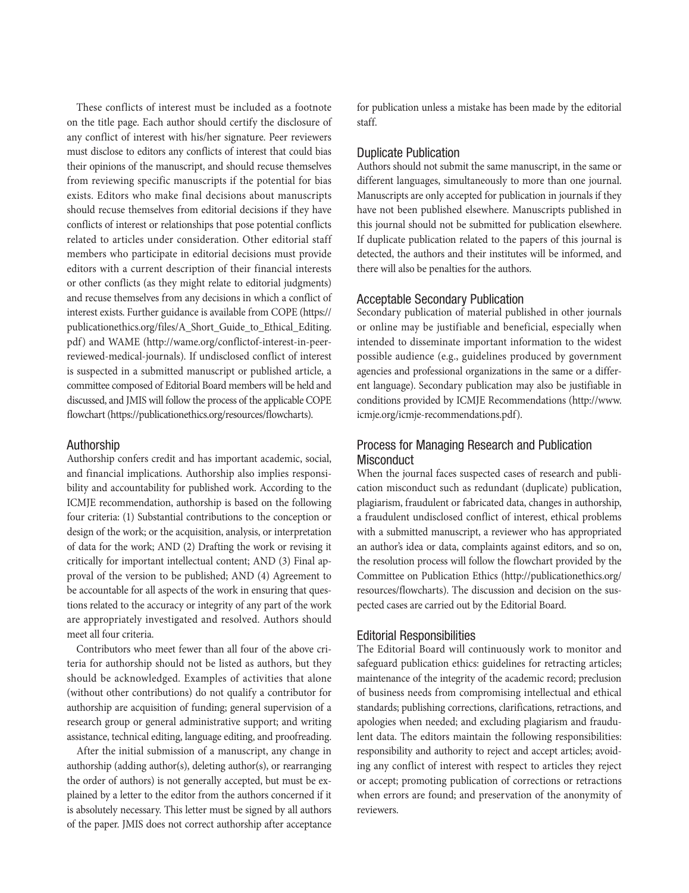These conflicts of interest must be included as a footnote on the title page. Each author should certify the disclosure of any conflict of interest with his/her signature. Peer reviewers must disclose to editors any conflicts of interest that could bias their opinions of the manuscript, and should recuse themselves from reviewing specific manuscripts if the potential for bias exists. Editors who make final decisions about manuscripts should recuse themselves from editorial decisions if they have conflicts of interest or relationships that pose potential conflicts related to articles under consideration. Other editorial staff members who participate in editorial decisions must provide editors with a current description of their financial interests or other conflicts (as they might relate to editorial judgments) and recuse themselves from any decisions in which a conflict of interest exists. Further guidance is available from COPE (https:// publicationethics.org/files/A\_Short\_Guide\_to\_Ethical\_Editing. pdf) and WAME (http://wame.org/conflictof-interest-in-peerreviewed-medical-journals). If undisclosed conflict of interest is suspected in a submitted manuscript or published article, a committee composed of Editorial Board members will be held and discussed, and JMIS will follow the process of the applicable COPE flowchart (https://publicationethics.org/resources/flowcharts).

#### Authorship

Authorship confers credit and has important academic, social, and financial implications. Authorship also implies responsibility and accountability for published work. According to the ICMJE recommendation, authorship is based on the following four criteria: (1) Substantial contributions to the conception or design of the work; or the acquisition, analysis, or interpretation of data for the work; AND (2) Drafting the work or revising it critically for important intellectual content; AND (3) Final approval of the version to be published; AND (4) Agreement to be accountable for all aspects of the work in ensuring that questions related to the accuracy or integrity of any part of the work are appropriately investigated and resolved. Authors should meet all four criteria.

Contributors who meet fewer than all four of the above criteria for authorship should not be listed as authors, but they should be acknowledged. Examples of activities that alone (without other contributions) do not qualify a contributor for authorship are acquisition of funding; general supervision of a research group or general administrative support; and writing assistance, technical editing, language editing, and proofreading.

After the initial submission of a manuscript, any change in authorship (adding author(s), deleting author(s), or rearranging the order of authors) is not generally accepted, but must be explained by a letter to the editor from the authors concerned if it is absolutely necessary. This letter must be signed by all authors of the paper. JMIS does not correct authorship after acceptance

for publication unless a mistake has been made by the editorial staff.

### Duplicate Publication

Authors should not submit the same manuscript, in the same or different languages, simultaneously to more than one journal. Manuscripts are only accepted for publication in journals if they have not been published elsewhere. Manuscripts published in this journal should not be submitted for publication elsewhere. If duplicate publication related to the papers of this journal is detected, the authors and their institutes will be informed, and there will also be penalties for the authors.

### Acceptable Secondary Publication

Secondary publication of material published in other journals or online may be justifiable and beneficial, especially when intended to disseminate important information to the widest possible audience (e.g., guidelines produced by government agencies and professional organizations in the same or a different language). Secondary publication may also be justifiable in conditions provided by ICMJE Recommendations (http://www. icmje.org/icmje-recommendations.pdf).

## Process for Managing Research and Publication **Misconduct**

When the journal faces suspected cases of research and publication misconduct such as redundant (duplicate) publication, plagiarism, fraudulent or fabricated data, changes in authorship, a fraudulent undisclosed conflict of interest, ethical problems with a submitted manuscript, a reviewer who has appropriated an author's idea or data, complaints against editors, and so on, the resolution process will follow the flowchart provided by the Committee on Publication Ethics (http://publicationethics.org/ resources/flowcharts). The discussion and decision on the suspected cases are carried out by the Editorial Board.

### Editorial Responsibilities

The Editorial Board will continuously work to monitor and safeguard publication ethics: guidelines for retracting articles; maintenance of the integrity of the academic record; preclusion of business needs from compromising intellectual and ethical standards; publishing corrections, clarifications, retractions, and apologies when needed; and excluding plagiarism and fraudulent data. The editors maintain the following responsibilities: responsibility and authority to reject and accept articles; avoiding any conflict of interest with respect to articles they reject or accept; promoting publication of corrections or retractions when errors are found; and preservation of the anonymity of reviewers.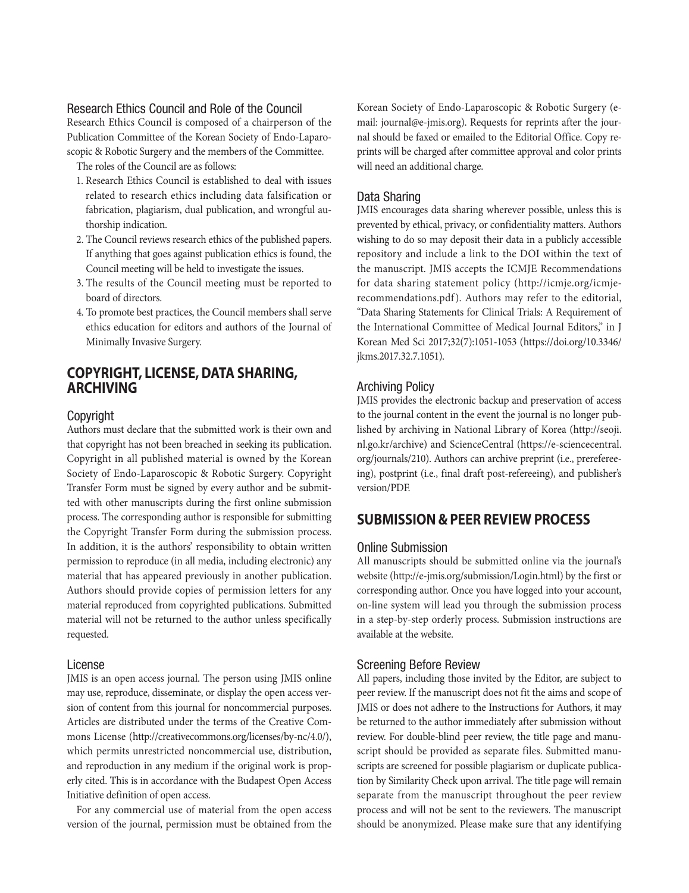## Research Ethics Council and Role of the Council

Research Ethics Council is composed of a chairperson of the Publication Committee of the Korean Society of Endo-Laparoscopic & Robotic Surgery and the members of the Committee.

The roles of the Council are as follows:

- 1. Research Ethics Council is established to deal with issues related to research ethics including data falsification or fabrication, plagiarism, dual publication, and wrongful authorship indication.
- 2. The Council reviews research ethics of the published papers. If anything that goes against publication ethics is found, the Council meeting will be held to investigate the issues.
- 3. The results of the Council meeting must be reported to board of directors.
- 4. To promote best practices, the Council members shall serve ethics education for editors and authors of the Journal of Minimally Invasive Surgery.

# **COPYRIGHT, LICENSE, DATA SHARING, ARCHIVING**

### **Copyright**

Authors must declare that the submitted work is their own and that copyright has not been breached in seeking its publication. Copyright in all published material is owned by the Korean Society of Endo-Laparoscopic & Robotic Surgery. Copyright Transfer Form must be signed by every author and be submitted with other manuscripts during the first online submission process. The corresponding author is responsible for submitting the Copyright Transfer Form during the submission process. In addition, it is the authors' responsibility to obtain written permission to reproduce (in all media, including electronic) any material that has appeared previously in another publication. Authors should provide copies of permission letters for any material reproduced from copyrighted publications. Submitted material will not be returned to the author unless specifically requested.

#### License

JMIS is an open access journal. The person using JMIS online may use, reproduce, disseminate, or display the open access version of content from this journal for noncommercial purposes. Articles are distributed under the terms of the Creative Commons License (http://creativecommons.org/licenses/by-nc/4.0/), which permits unrestricted noncommercial use, distribution, and reproduction in any medium if the original work is properly cited. This is in accordance with the Budapest Open Access Initiative definition of open access.

For any commercial use of material from the open access version of the journal, permission must be obtained from the

Korean Society of Endo-Laparoscopic & Robotic Surgery (email: journal@e-jmis.org). Requests for reprints after the journal should be faxed or emailed to the Editorial Office. Copy reprints will be charged after committee approval and color prints will need an additional charge.

## Data Sharing

JMIS encourages data sharing wherever possible, unless this is prevented by ethical, privacy, or confidentiality matters. Authors wishing to do so may deposit their data in a publicly accessible repository and include a link to the DOI within the text of the manuscript. JMIS accepts the ICMJE Recommendations for data sharing statement policy (http://icmje.org/icmjerecommendations.pdf). Authors may refer to the editorial, "Data Sharing Statements for Clinical Trials: A Requirement of the International Committee of Medical Journal Editors," in J Korean Med Sci 2017;32(7):1051-1053 (https://doi.org/10.3346/ jkms.2017.32.7.1051).

### Archiving Policy

JMIS provides the electronic backup and preservation of access to the journal content in the event the journal is no longer published by archiving in National Library of Korea (http://seoji. nl.go.kr/archive) and ScienceCentral (https://e-sciencecentral. org/journals/210). Authors can archive preprint (i.e., prerefereeing), postprint (i.e., final draft post-refereeing), and publisher's version/PDF.

# **SUBMISSION & PEER REVIEW PROCESS**

#### Online Submission

All manuscripts should be submitted online via the journal's website (http://e-jmis.org/submission/Login.html) by the first or corresponding author. Once you have logged into your account, on-line system will lead you through the submission process in a step-by-step orderly process. Submission instructions are available at the website.

### Screening Before Review

All papers, including those invited by the Editor, are subject to peer review. If the manuscript does not fit the aims and scope of JMIS or does not adhere to the Instructions for Authors, it may be returned to the author immediately after submission without review. For double-blind peer review, the title page and manuscript should be provided as separate files. Submitted manuscripts are screened for possible plagiarism or duplicate publication by Similarity Check upon arrival. The title page will remain separate from the manuscript throughout the peer review process and will not be sent to the reviewers. The manuscript should be anonymized. Please make sure that any identifying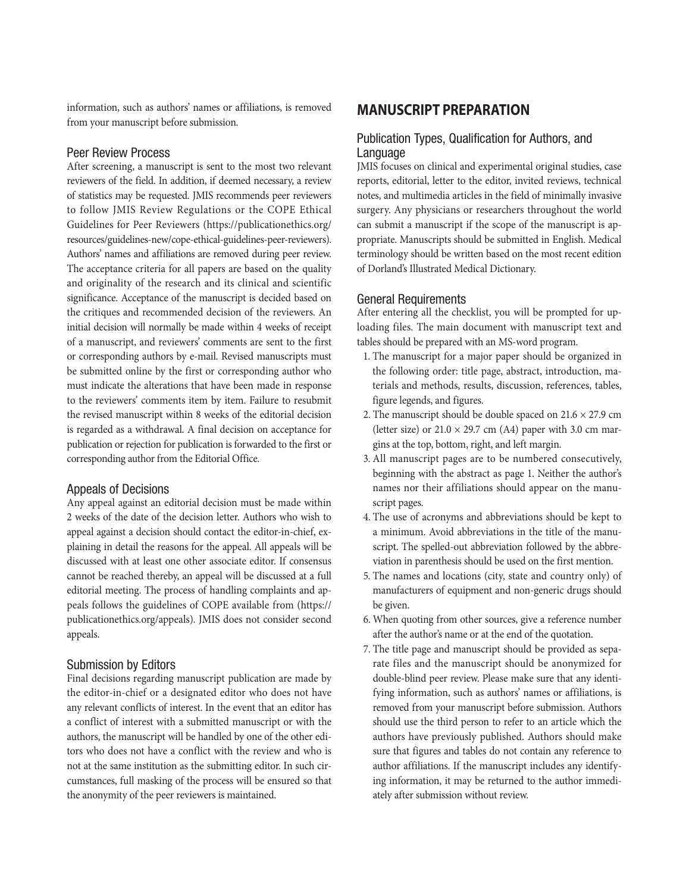information, such as authors' names or affiliations, is removed from your manuscript before submission.

## Peer Review Process

After screening, a manuscript is sent to the most two relevant reviewers of the field. In addition, if deemed necessary, a review of statistics may be requested. JMIS recommends peer reviewers to follow JMIS Review Regulations or the COPE Ethical Guidelines for Peer Reviewers (https://publicationethics.org/ resources/guidelines-new/cope-ethical-guidelines-peer-reviewers). Authors' names and affiliations are removed during peer review. The acceptance criteria for all papers are based on the quality and originality of the research and its clinical and scientific significance. Acceptance of the manuscript is decided based on the critiques and recommended decision of the reviewers. An initial decision will normally be made within 4 weeks of receipt of a manuscript, and reviewers' comments are sent to the first or corresponding authors by e-mail. Revised manuscripts must be submitted online by the first or corresponding author who must indicate the alterations that have been made in response to the reviewers' comments item by item. Failure to resubmit the revised manuscript within 8 weeks of the editorial decision is regarded as a withdrawal. A final decision on acceptance for publication or rejection for publication is forwarded to the first or corresponding author from the Editorial Office.

### Appeals of Decisions

Any appeal against an editorial decision must be made within 2 weeks of the date of the decision letter. Authors who wish to appeal against a decision should contact the editor-in-chief, explaining in detail the reasons for the appeal. All appeals will be discussed with at least one other associate editor. If consensus cannot be reached thereby, an appeal will be discussed at a full editorial meeting. The process of handling complaints and appeals follows the guidelines of COPE available from (https:// publicationethics.org/appeals). JMIS does not consider second appeals.

## Submission by Editors

Final decisions regarding manuscript publication are made by the editor-in-chief or a designated editor who does not have any relevant conflicts of interest. In the event that an editor has a conflict of interest with a submitted manuscript or with the authors, the manuscript will be handled by one of the other editors who does not have a conflict with the review and who is not at the same institution as the submitting editor. In such circumstances, full masking of the process will be ensured so that the anonymity of the peer reviewers is maintained.

# **MANUSCRIPT PREPARATION**

## Publication Types, Qualification for Authors, and Language

JMIS focuses on clinical and experimental original studies, case reports, editorial, letter to the editor, invited reviews, technical notes, and multimedia articles in the field of minimally invasive surgery. Any physicians or researchers throughout the world can submit a manuscript if the scope of the manuscript is appropriate. Manuscripts should be submitted in English. Medical terminology should be written based on the most recent edition of Dorland's Illustrated Medical Dictionary.

## General Requirements

After entering all the checklist, you will be prompted for uploading files. The main document with manuscript text and tables should be prepared with an MS-word program.

- 1. The manuscript for a major paper should be organized in the following order: title page, abstract, introduction, materials and methods, results, discussion, references, tables, figure legends, and figures.
- 2. The manuscript should be double spaced on  $21.6 \times 27.9$  cm (letter size) or  $21.0 \times 29.7$  cm (A4) paper with 3.0 cm margins at the top, bottom, right, and left margin.
- 3. All manuscript pages are to be numbered consecutively, beginning with the abstract as page 1. Neither the author's names nor their affiliations should appear on the manuscript pages.
- 4. The use of acronyms and abbreviations should be kept to a minimum. Avoid abbreviations in the title of the manuscript. The spelled-out abbreviation followed by the abbreviation in parenthesis should be used on the first mention.
- 5. The names and locations (city, state and country only) of manufacturers of equipment and non-generic drugs should be given.
- 6. When quoting from other sources, give a reference number after the author's name or at the end of the quotation.
- 7. The title page and manuscript should be provided as separate files and the manuscript should be anonymized for double-blind peer review. Please make sure that any identifying information, such as authors' names or affiliations, is removed from your manuscript before submission. Authors should use the third person to refer to an article which the authors have previously published. Authors should make sure that figures and tables do not contain any reference to author affiliations. If the manuscript includes any identifying information, it may be returned to the author immediately after submission without review.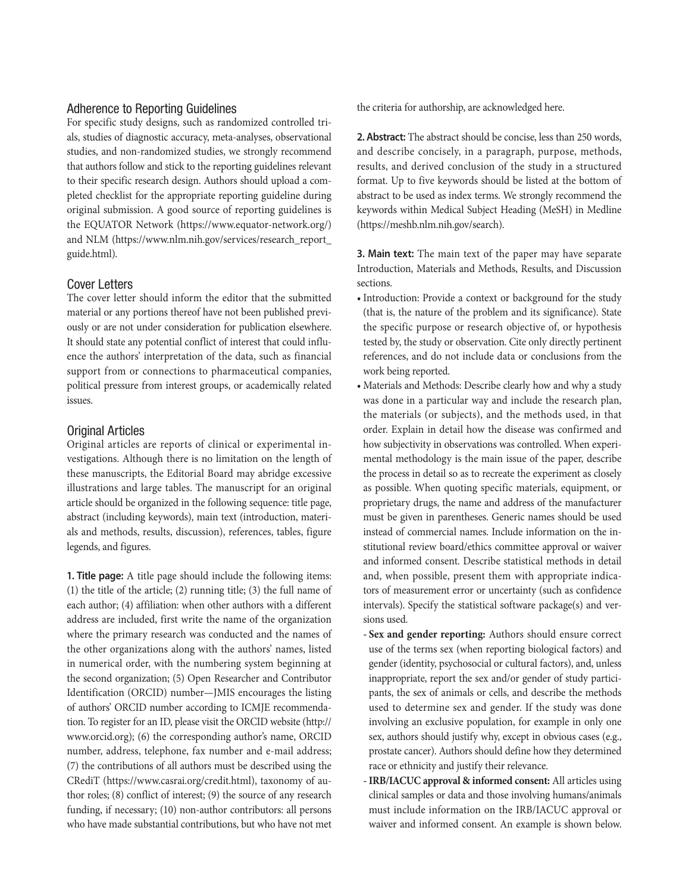### Adherence to Reporting Guidelines

For specific study designs, such as randomized controlled trials, studies of diagnostic accuracy, meta-analyses, observational studies, and non-randomized studies, we strongly recommend that authors follow and stick to the reporting guidelines relevant to their specific research design. Authors should upload a completed checklist for the appropriate reporting guideline during original submission. A good source of reporting guidelines is the EQUATOR Network (https://www.equator-network.org/) and NLM ([https://www.nlm.nih.gov/services/research\\_report\\_](https://www.nlm.nih.gov/services/research_report_guide.html) [guide.html](https://www.nlm.nih.gov/services/research_report_guide.html)).

## Cover Letters

The cover letter should inform the editor that the submitted material or any portions thereof have not been published previously or are not under consideration for publication elsewhere. It should state any potential conflict of interest that could influence the authors' interpretation of the data, such as financial support from or connections to pharmaceutical companies, political pressure from interest groups, or academically related issues.

### Original Articles

Original articles are reports of clinical or experimental investigations. Although there is no limitation on the length of these manuscripts, the Editorial Board may abridge excessive illustrations and large tables. The manuscript for an original article should be organized in the following sequence: title page, abstract (including keywords), main text (introduction, materials and methods, results, discussion), references, tables, figure legends, and figures.

**1. Title page:** A title page should include the following items: (1) the title of the article; (2) running title; (3) the full name of each author; (4) affiliation: when other authors with a different address are included, first write the name of the organization where the primary research was conducted and the names of the other organizations along with the authors' names, listed in numerical order, with the numbering system beginning at the second organization; (5) Open Researcher and Contributor Identification (ORCID) number—JMIS encourages the listing of authors' ORCID number according to ICMJE recommendation. To register for an ID, please visit the ORCID website (http:// www.orcid.org); (6) the corresponding author's name, ORCID number, address, telephone, fax number and e-mail address; (7) the contributions of all authors must be described using the CRediT (https://www.casrai.org/credit.html), taxonomy of author roles; (8) conflict of interest; (9) the source of any research funding, if necessary; (10) non-author contributors: all persons who have made substantial contributions, but who have not met

the criteria for authorship, are acknowledged here.

**2. Abstract:** The abstract should be concise, less than 250 words, and describe concisely, in a paragraph, purpose, methods, results, and derived conclusion of the study in a structured format. Up to five keywords should be listed at the bottom of abstract to be used as index terms. We strongly recommend the keywords within Medical Subject Heading (MeSH) in Medline (https://meshb.nlm.nih.gov/search).

**3. Main text:** The main text of the paper may have separate Introduction, Materials and Methods, Results, and Discussion sections.

- Introduction: Provide a context or background for the study (that is, the nature of the problem and its significance). State the specific purpose or research objective of, or hypothesis tested by, the study or observation. Cite only directly pertinent references, and do not include data or conclusions from the work being reported.
- Materials and Methods: Describe clearly how and why a study was done in a particular way and include the research plan, the materials (or subjects), and the methods used, in that order. Explain in detail how the disease was confirmed and how subjectivity in observations was controlled. When experimental methodology is the main issue of the paper, describe the process in detail so as to recreate the experiment as closely as possible. When quoting specific materials, equipment, or proprietary drugs, the name and address of the manufacturer must be given in parentheses. Generic names should be used instead of commercial names. Include information on the institutional review board/ethics committee approval or waiver and informed consent. Describe statistical methods in detail and, when possible, present them with appropriate indicators of measurement error or uncertainty (such as confidence intervals). Specify the statistical software package(s) and versions used.
- **Sex and gender reporting:** Authors should ensure correct use of the terms sex (when reporting biological factors) and gender (identity, psychosocial or cultural factors), and, unless inappropriate, report the sex and/or gender of study participants, the sex of animals or cells, and describe the methods used to determine sex and gender. If the study was done involving an exclusive population, for example in only one sex, authors should justify why, except in obvious cases (e.g., prostate cancer). Authors should define how they determined race or ethnicity and justify their relevance.
- **IRB/IACUC approval & informed consent:** All articles using clinical samples or data and those involving humans/animals must include information on the IRB/IACUC approval or waiver and informed consent. An example is shown below.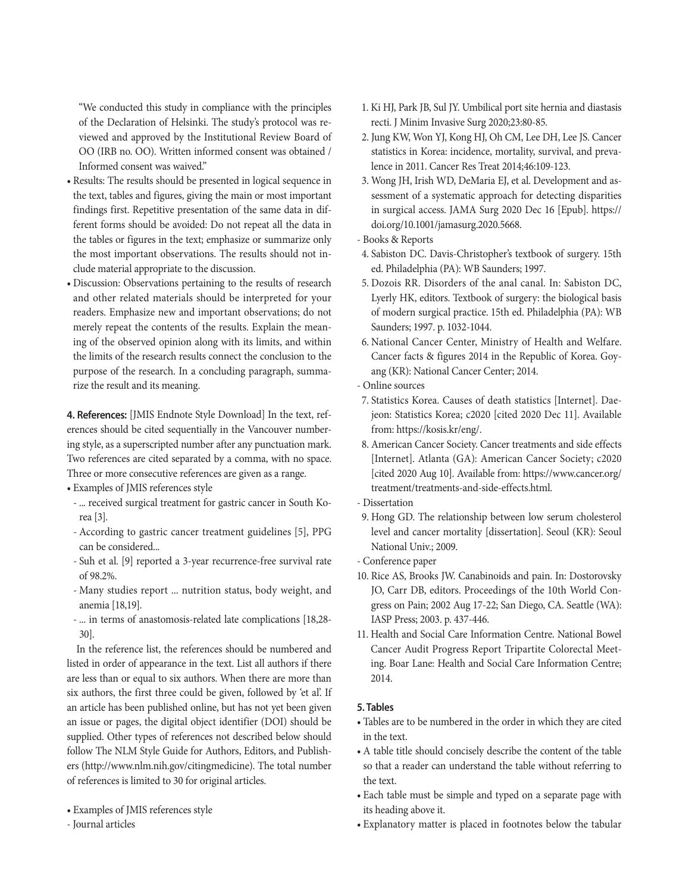"We conducted this study in compliance with the principles of the Declaration of Helsinki. The study's protocol was reviewed and approved by the Institutional Review Board of OO (IRB no. OO). Written informed consent was obtained / Informed consent was waived."

- Results: The results should be presented in logical sequence in the text, tables and figures, giving the main or most important findings first. Repetitive presentation of the same data in different forms should be avoided: Do not repeat all the data in the tables or figures in the text; emphasize or summarize only the most important observations. The results should not include material appropriate to the discussion.
- Discussion: Observations pertaining to the results of research and other related materials should be interpreted for your readers. Emphasize new and important observations; do not merely repeat the contents of the results. Explain the meaning of the observed opinion along with its limits, and within the limits of the research results connect the conclusion to the purpose of the research. In a concluding paragraph, summarize the result and its meaning.

**4. References:** [\[JMIS Endnote Style Download\]](http://www.e-jmis.org/file/JMIS_Endnote_Style(210513).ens) In the text, references should be cited sequentially in the Vancouver numbering style, as a superscripted number after any punctuation mark. Two references are cited separated by a comma, with no space. Three or more consecutive references are given as a range.

• Examples of JMIS references style

- ... received surgical treatment for gastric cancer in South Korea [3].
- According to gastric cancer treatment guidelines [5], PPG can be considered...
- Suh et al. [9] reported a 3-year recurrence-free survival rate of 98.2%.
- Many studies report ... nutrition status, body weight, and anemia [18,19].
- ... in terms of anastomosis-related late complications [18,28- 30].

In the reference list, the references should be numbered and listed in order of appearance in the text. List all authors if there are less than or equal to six authors. When there are more than six authors, the first three could be given, followed by 'et al'. If an article has been published online, but has not yet been given an issue or pages, the digital object identifier (DOI) should be supplied. Other types of references not described below should follow The NLM Style Guide for Authors, Editors, and Publishers (http://www.nlm.nih.gov/citingmedicine). The total number of references is limited to 30 for original articles.

- Examples of JMIS references style
- Journal articles
- 1. Ki HJ, Park JB, Sul JY. Umbilical port site hernia and diastasis recti. J Minim Invasive Surg 2020;23:80-85.
- 2. Jung KW, Won YJ, Kong HJ, Oh CM, Lee DH, Lee JS. Cancer statistics in Korea: incidence, mortality, survival, and prevalence in 2011. Cancer Res Treat 2014;46:109-123.
- 3. Wong JH, Irish WD, DeMaria EJ, et al. Development and assessment of a systematic approach for detecting disparities in surgical access. JAMA Surg 2020 Dec 16 [Epub]. [https://](https://doi.org/10.1001/jamasurg.2020.5668) [doi.org/10.1001/jamasurg.2020.5668.](https://doi.org/10.1001/jamasurg.2020.5668)
- Books & Reports
- 4. Sabiston DC. Davis-Christopher's textbook of surgery. 15th ed. Philadelphia (PA): WB Saunders; 1997.
- 5. Dozois RR. Disorders of the anal canal. In: Sabiston DC, Lyerly HK, editors. Textbook of surgery: the biological basis of modern surgical practice. 15th ed. Philadelphia (PA): WB Saunders; 1997. p. 1032-1044.
- 6. National Cancer Center, Ministry of Health and Welfare. Cancer facts & figures 2014 in the Republic of Korea. Goyang (KR): National Cancer Center; 2014.
- Online sources
- 7. Statistics Korea. Causes of death statistics [Internet]. Daejeon: Statistics Korea; c2020 [cited 2020 Dec 11]. Available from: <https://kosis.kr/eng/>.
- 8. American Cancer Society. Cancer treatments and side effects [Internet]. Atlanta (GA): American Cancer Society; c2020 [cited 2020 Aug 10]. Available from: [https://www.cancer.org/](https://www.cancer.org/treatment/treatments-and-side-effects.html) [treatment/treatments-and-side-effects.html](https://www.cancer.org/treatment/treatments-and-side-effects.html).
- Dissertation
- 9. Hong GD. The relationship between low serum cholesterol level and cancer mortality [dissertation]. Seoul (KR): Seoul National Univ.; 2009.
- Conference paper
- 10. Rice AS, Brooks JW. Canabinoids and pain. In: Dostorovsky JO, Carr DB, editors. Proceedings of the 10th World Congress on Pain; 2002 Aug 17-22; San Diego, CA. Seattle (WA): IASP Press; 2003. p. 437-446.
- 11. Health and Social Care Information Centre. National Bowel Cancer Audit Progress Report Tripartite Colorectal Meeting. Boar Lane: Health and Social Care Information Centre; 2014.

#### **5. Tables**

- Tables are to be numbered in the order in which they are cited in the text.
- A table title should concisely describe the content of the table so that a reader can understand the table without referring to the text.
- Each table must be simple and typed on a separate page with its heading above it.
- Explanatory matter is placed in footnotes below the tabular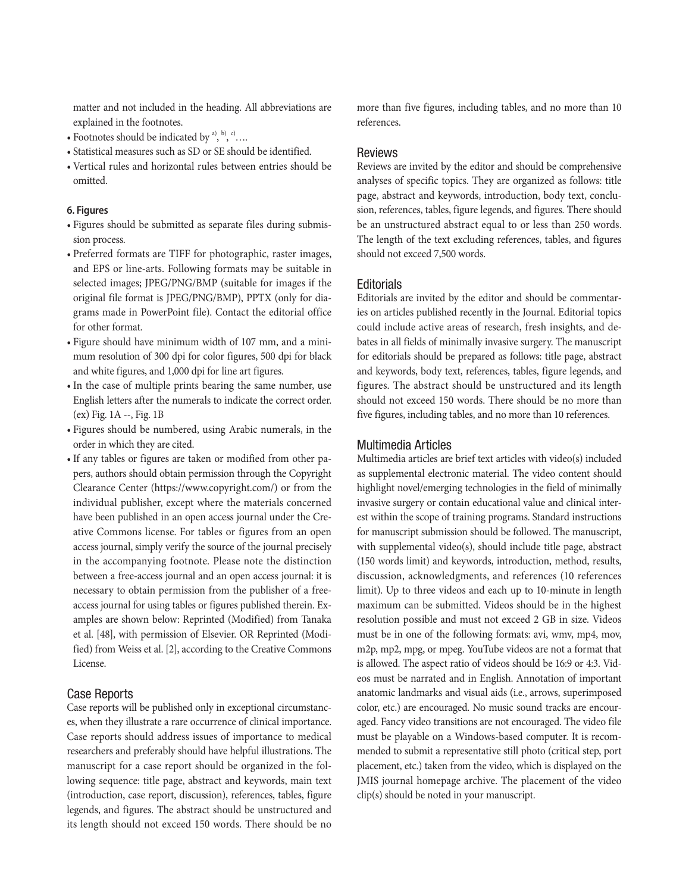matter and not included in the heading. All abbreviations are explained in the footnotes.

- Footnotes should be indicated by  $a^3$ ,  $b^3$ ,  $c^3$ ....
- Statistical measures such as SD or SE should be identified.
- Vertical rules and horizontal rules between entries should be omitted.

#### **6. Figures**

- Figures should be submitted as separate files during submission process.
- Preferred formats are TIFF for photographic, raster images, and EPS or line-arts. Following formats may be suitable in selected images; JPEG/PNG/BMP (suitable for images if the original file format is JPEG/PNG/BMP), PPTX (only for diagrams made in PowerPoint file). Contact the editorial office for other format.
- Figure should have minimum width of 107 mm, and a minimum resolution of 300 dpi for color figures, 500 dpi for black and white figures, and 1,000 dpi for line art figures.
- In the case of multiple prints bearing the same number, use English letters after the numerals to indicate the correct order. (ex) Fig. 1A --, Fig. 1B
- Figures should be numbered, using Arabic numerals, in the order in which they are cited.
- If any tables or figures are taken or modified from other papers, authors should obtain permission through the Copyright Clearance Center [\(https://www.copyright.com/\)](https://www.copyright.com/) or from the individual publisher, except where the materials concerned have been published in an open access journal under the Creative Commons license. For tables or figures from an open access journal, simply verify the source of the journal precisely in the accompanying footnote. Please note the distinction between a free-access journal and an open access journal: it is necessary to obtain permission from the publisher of a freeaccess journal for using tables or figures published therein. Examples are shown below: Reprinted (Modified) from Tanaka et al. [48], with permission of Elsevier. OR Reprinted (Modified) from Weiss et al. [2], according to the Creative Commons License.

### Case Reports

Case reports will be published only in exceptional circumstances, when they illustrate a rare occurrence of clinical importance. Case reports should address issues of importance to medical researchers and preferably should have helpful illustrations. The manuscript for a case report should be organized in the following sequence: title page, abstract and keywords, main text (introduction, case report, discussion), references, tables, figure legends, and figures. The abstract should be unstructured and its length should not exceed 150 words. There should be no

more than five figures, including tables, and no more than 10 references.

### Reviews

Reviews are invited by the editor and should be comprehensive analyses of specific topics. They are organized as follows: title page, abstract and keywords, introduction, body text, conclusion, references, tables, figure legends, and figures. There should be an unstructured abstract equal to or less than 250 words. The length of the text excluding references, tables, and figures should not exceed 7,500 words.

### **Editorials**

Editorials are invited by the editor and should be commentaries on articles published recently in the Journal. Editorial topics could include active areas of research, fresh insights, and debates in all fields of minimally invasive surgery. The manuscript for editorials should be prepared as follows: title page, abstract and keywords, body text, references, tables, figure legends, and figures. The abstract should be unstructured and its length should not exceed 150 words. There should be no more than five figures, including tables, and no more than 10 references.

#### Multimedia Articles

Multimedia articles are brief text articles with video(s) included as supplemental electronic material. The video content should highlight novel/emerging technologies in the field of minimally invasive surgery or contain educational value and clinical interest within the scope of training programs. Standard instructions for manuscript submission should be followed. The manuscript, with supplemental video(s), should include title page, abstract (150 words limit) and keywords, introduction, method, results, discussion, acknowledgments, and references (10 references limit). Up to three videos and each up to 10-minute in length maximum can be submitted. Videos should be in the highest resolution possible and must not exceed 2 GB in size. Videos must be in one of the following formats: avi, wmv, mp4, mov, m2p, mp2, mpg, or mpeg. YouTube videos are not a format that is allowed. The aspect ratio of videos should be 16:9 or 4:3. Videos must be narrated and in English. Annotation of important anatomic landmarks and visual aids (i.e., arrows, superimposed color, etc.) are encouraged. No music sound tracks are encouraged. Fancy video transitions are not encouraged. The video file must be playable on a Windows-based computer. It is recommended to submit a representative still photo (critical step, port placement, etc.) taken from the video, which is displayed on the JMIS journal homepage archive. The placement of the video clip(s) should be noted in your manuscript.